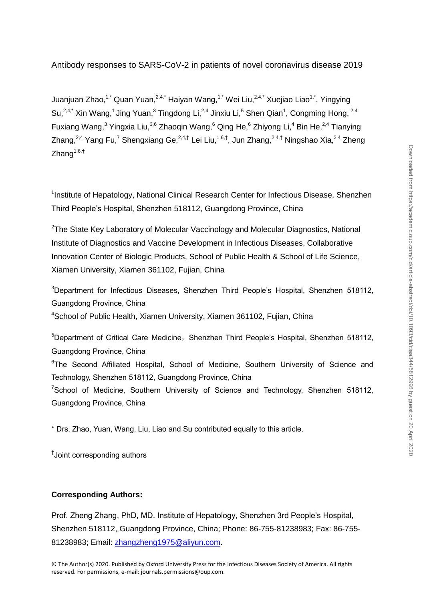Juanjuan Zhao,<sup>1,\*</sup> Quan Yuan,<sup>2,4,\*</sup> Haiyan Wang,<sup>1,\*</sup> Wei Liu,<sup>2,4,\*</sup> Xuejiao Liao<sup>1,\*</sup>, Yingying Su,<sup>2,4,\*</sup> Xin Wang,<sup>1</sup> Jing Yuan,<sup>3</sup> Tingdong Li,<sup>2,4</sup> Jinxiu Li,<sup>5</sup> Shen Qian<sup>1</sup>, Congming Hong, <sup>2,4</sup> Fuxiang Wang, $3$  Yingxia Liu, $3,6$  Zhaoqin Wang, $6$  Qing He, $6$  Zhiyong Li, $4$  Bin He, $2,4$  Tianying Zhang,<sup>2,4</sup> Yang Fu,<sup>7</sup> Shengxiang Ge,<sup>2,4,†</sup> Lei Liu,<sup>1,6,†</sup>, Jun Zhang,<sup>2,4,†</sup> Ningshao Xia,<sup>2,4</sup> Zheng Zhang1,6,**†**

<sup>1</sup>Institute of Hepatology, National Clinical Research Center for Infectious Disease, Shenzhen Third People's Hospital, Shenzhen 518112, Guangdong Province, China

<sup>2</sup>The State Key Laboratory of Molecular Vaccinology and Molecular Diagnostics, National Institute of Diagnostics and Vaccine Development in Infectious Diseases, Collaborative Innovation Center of Biologic Products, School of Public Health & School of Life Science, Xiamen University, Xiamen 361102, Fujian, China

<sup>3</sup>Department for Infectious Diseases, Shenzhen Third People's Hospital, Shenzhen 518112, Guangdong Province, China

<sup>4</sup>School of Public Health, Xiamen University, Xiamen 361102, Fujian, China

<sup>5</sup>Department of Critical Care Medicine, Shenzhen Third People's Hospital, Shenzhen 518112, Guangdong Province, China <sup>6</sup>The Second Affiliated Hospital, School of Medicine, Southern University of Science and Technology, Shenzhen 518112, Guangdong Province, China <sup>7</sup>School of Medicine, Southern University of Science and Technology, Shenzhen 518112, Guangdong Province, China

\* Drs. Zhao, Yuan, Wang, Liu, Liao and Su contributed equally to this article.

**†** Joint corresponding authors

# **Corresponding Authors:**

Prof. Zheng Zhang, PhD, MD. Institute of Hepatology, Shenzhen 3rd People's Hospital, Shenzhen 518112, Guangdong Province, China; Phone: 86-755-81238983; Fax: 86-755- 81238983; Email: [zhangzheng1975@aliyun.com.](mailto:zhangzheng1975@aliyun.com)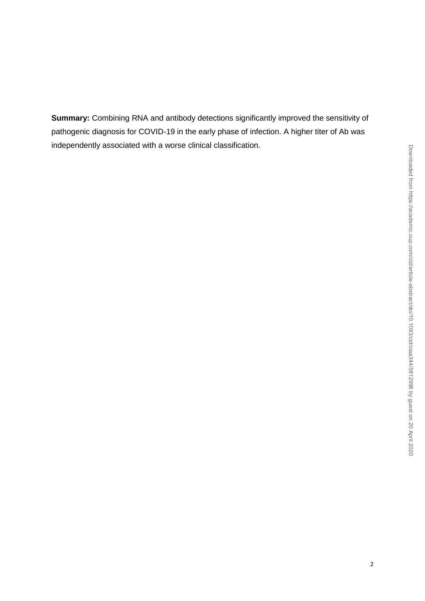**Summary:** Combining RNA and antibody detections significantly improved the sensitivity of pathogenic diagnosis for COVID-19 in the early phase of infection. A higher titer of Ab was independently associated with a worse clinical classification.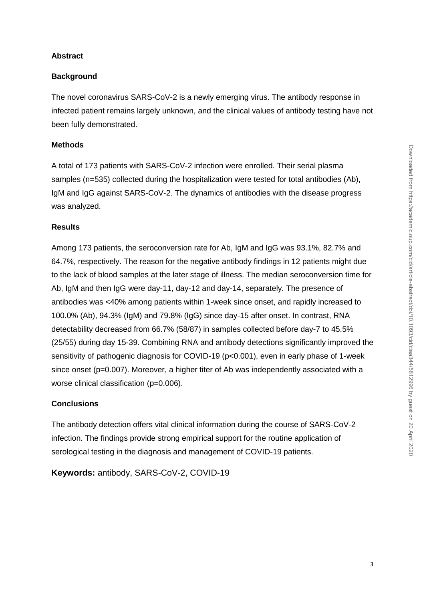# **Abstract**

## **Background**

The novel coronavirus SARS-CoV-2 is a newly emerging virus. The antibody response in infected patient remains largely unknown, and the clinical values of antibody testing have not been fully demonstrated.

## **Methods**

A total of 173 patients with SARS-CoV-2 infection were enrolled. Their serial plasma samples (n=535) collected during the hospitalization were tested for total antibodies (Ab), IgM and IgG against SARS-CoV-2. The dynamics of antibodies with the disease progress was analyzed.

## **Results**

Among 173 patients, the seroconversion rate for Ab, IgM and IgG was 93.1%, 82.7% and 64.7%, respectively. The reason for the negative antibody findings in 12 patients might due to the lack of blood samples at the later stage of illness. The median seroconversion time for Ab, IgM and then IgG were day-11, day-12 and day-14, separately. The presence of antibodies was <40% among patients within 1-week since onset, and rapidly increased to 100.0% (Ab), 94.3% (IgM) and 79.8% (IgG) since day-15 after onset. In contrast, RNA detectability decreased from 66.7% (58/87) in samples collected before day-7 to 45.5% (25/55) during day 15-39. Combining RNA and antibody detections significantly improved the sensitivity of pathogenic diagnosis for COVID-19 (p<0.001), even in early phase of 1-week since onset (p=0.007). Moreover, a higher titer of Ab was independently associated with a worse clinical classification (p=0.006).

## **Conclusions**

The antibody detection offers vital clinical information during the course of SARS-CoV-2 infection. The findings provide strong empirical support for the routine application of serological testing in the diagnosis and management of COVID-19 patients.

**Keywords:** antibody, SARS-CoV-2, COVID-19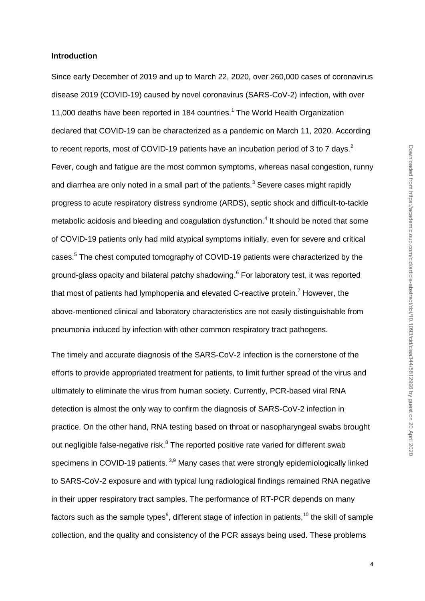## **Introduction**

Since early December of 2019 and up to March 22, 2020, over 260,000 cases of coronavirus disease 2019 (COVID-19) caused by novel coronavirus (SARS-CoV-2) infection, with over 11,000 deaths have been reported in 184 countries.<sup>1</sup> The World Health Organization declared that COVID-19 can be characterized as a pandemic on March 11, 2020. According to recent reports, most of COVID-19 patients have an incubation period of 3 to 7 days.<sup>2</sup> Fever, cough and fatigue are the most common symptoms, whereas nasal congestion, runny and diarrhea are only noted in a small part of the patients.<sup>3</sup> Severe cases might rapidly progress to acute respiratory distress syndrome (ARDS), septic shock and difficult-to-tackle metabolic acidosis and bleeding and coagulation dysfunction.<sup>4</sup> It should be noted that some of COVID-19 patients only had mild atypical symptoms initially, even for severe and critical cases.<sup>5</sup> The chest computed tomography of COVID-19 patients were characterized by the ground-glass opacity and bilateral patchy shadowing.<sup>6</sup> For laboratory test, it was reported that most of patients had lymphopenia and elevated C-reactive protein.<sup>7</sup> However, the above-mentioned clinical and laboratory characteristics are not easily distinguishable from pneumonia induced by infection with other common respiratory tract pathogens.

The timely and accurate diagnosis of the SARS-CoV-2 infection is the cornerstone of the efforts to provide appropriated treatment for patients, to limit further spread of the virus and ultimately to eliminate the virus from human society. Currently, PCR-based viral RNA detection is almost the only way to confirm the diagnosis of SARS-CoV-2 infection in practice. On the other hand, RNA testing based on throat or nasopharyngeal swabs brought out negligible false-negative risk.<sup>8</sup> The reported positive rate varied for different swab specimens in COVID-19 patients.<sup>3,9</sup> Many cases that were strongly epidemiologically linked to SARS-CoV-2 exposure and with typical lung radiological findings remained RNA negative in their upper respiratory tract samples. The performance of RT-PCR depends on many factors such as the sample types<sup>9</sup>, different stage of infection in patients,<sup>10</sup> the skill of sample collection, and the quality and consistency of the PCR assays being used. These problems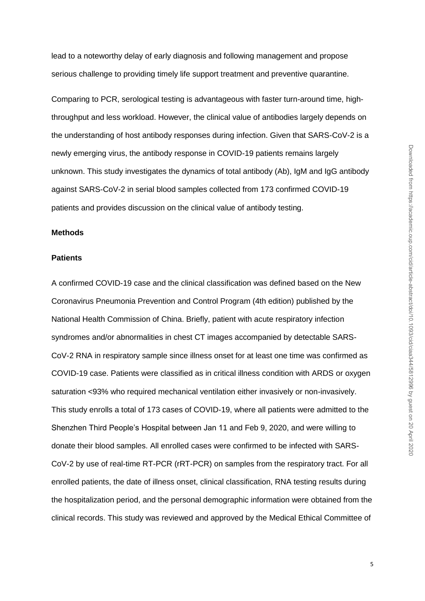lead to a noteworthy delay of early diagnosis and following management and propose serious challenge to providing timely life support treatment and preventive quarantine.

Comparing to PCR, serological testing is advantageous with faster turn-around time, highthroughput and less workload. However, the clinical value of antibodies largely depends on the understanding of host antibody responses during infection. Given that SARS-CoV-2 is a newly emerging virus, the antibody response in COVID-19 patients remains largely unknown. This study investigates the dynamics of total antibody (Ab), IgM and IgG antibody against SARS-CoV-2 in serial blood samples collected from 173 confirmed COVID-19 patients and provides discussion on the clinical value of antibody testing.

## **Methods**

## **Patients**

A confirmed COVID-19 case and the clinical classification was defined based on the New Coronavirus Pneumonia Prevention and Control Program (4th edition) published by the National Health Commission of China. Briefly, patient with acute respiratory infection syndromes and/or abnormalities in chest CT images accompanied by detectable SARS-CoV-2 RNA in respiratory sample since illness onset for at least one time was confirmed as COVID-19 case. Patients were classified as in critical illness condition with ARDS or oxygen saturation <93% who required mechanical ventilation either invasively or non-invasively. This study enrolls a total of 173 cases of COVID-19, where all patients were admitted to the Shenzhen Third People's Hospital between Jan 11 and Feb 9, 2020, and were willing to donate their blood samples. All enrolled cases were confirmed to be infected with SARS-CoV-2 by use of real-time RT-PCR (rRT-PCR) on samples from the respiratory tract. For all enrolled patients, the date of illness onset, clinical classification, RNA testing results during the hospitalization period, and the personal demographic information were obtained from the clinical records. This study was reviewed and approved by the Medical Ethical Committee of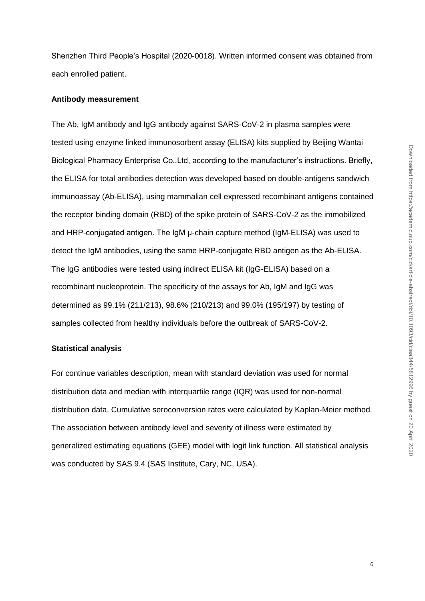Shenzhen Third People's Hospital (2020-0018). Written informed consent was obtained from each enrolled patient.

## **Antibody measurement**

The Ab, IgM antibody and IgG antibody against SARS-CoV-2 in plasma samples were tested using enzyme linked immunosorbent assay (ELISA) kits supplied by Beijing Wantai Biological Pharmacy Enterprise Co.,Ltd, according to the manufacturer's instructions. Briefly, the ELISA for total antibodies detection was developed based on double-antigens sandwich immunoassay (Ab-ELISA), using mammalian cell expressed recombinant antigens contained the receptor binding domain (RBD) of the spike protein of SARS-CoV-2 as the immobilized and HRP-conjugated antigen. The IgM μ-chain capture method (IgM-ELISA) was used to detect the IgM antibodies, using the same HRP-conjugate RBD antigen as the Ab-ELISA. The IgG antibodies were tested using indirect ELISA kit (IgG-ELISA) based on a recombinant nucleoprotein. The specificity of the assays for Ab, IgM and IgG was determined as 99.1% (211/213), 98.6% (210/213) and 99.0% (195/197) by testing of samples collected from healthy individuals before the outbreak of SARS-CoV-2.

## **Statistical analysis**

For continue variables description, mean with standard deviation was used for normal distribution data and median with interquartile range (IQR) was used for non-normal distribution data. Cumulative seroconversion rates were calculated by Kaplan-Meier method. The association between antibody level and severity of illness were estimated by generalized estimating equations (GEE) model with logit link function. All statistical analysis was conducted by SAS 9.4 (SAS Institute, Cary, NC, USA).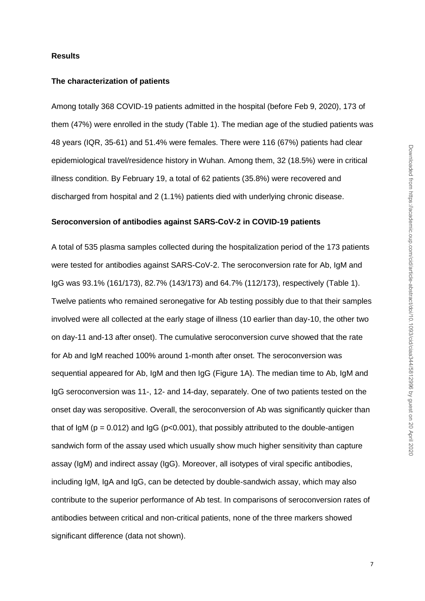#### **Results**

#### **The characterization of patients**

Among totally 368 COVID-19 patients admitted in the hospital (before Feb 9, 2020), 173 of them (47%) were enrolled in the study (Table 1). The median age of the studied patients was 48 years (IQR, 35-61) and 51.4% were females. There were 116 (67%) patients had clear epidemiological travel/residence history in Wuhan. Among them, 32 (18.5%) were in critical illness condition. By February 19, a total of 62 patients (35.8%) were recovered and discharged from hospital and 2 (1.1%) patients died with underlying chronic disease.

#### **Seroconversion of antibodies against SARS-CoV-2 in COVID-19 patients**

A total of 535 plasma samples collected during the hospitalization period of the 173 patients were tested for antibodies against SARS-CoV-2. The seroconversion rate for Ab, IgM and IgG was 93.1% (161/173), 82.7% (143/173) and 64.7% (112/173), respectively (Table 1). Twelve patients who remained seronegative for Ab testing possibly due to that their samples involved were all collected at the early stage of illness (10 earlier than day-10, the other two on day-11 and-13 after onset). The cumulative seroconversion curve showed that the rate for Ab and IgM reached 100% around 1-month after onset. The seroconversion was sequential appeared for Ab, IgM and then IgG (Figure 1A). The median time to Ab, IgM and IgG seroconversion was 11-, 12- and 14-day, separately. One of two patients tested on the onset day was seropositive. Overall, the seroconversion of Ab was significantly quicker than that of IgM ( $p = 0.012$ ) and IgG ( $p < 0.001$ ), that possibly attributed to the double-antigen sandwich form of the assay used which usually show much higher sensitivity than capture assay (IgM) and indirect assay (IgG). Moreover, all isotypes of viral specific antibodies, including IgM, IgA and IgG, can be detected by double-sandwich assay, which may also contribute to the superior performance of Ab test. In comparisons of seroconversion rates of antibodies between critical and non-critical patients, none of the three markers showed significant difference (data not shown).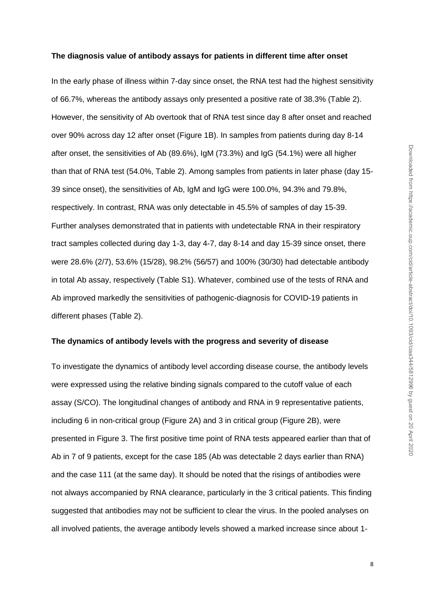#### **The diagnosis value of antibody assays for patients in different time after onset**

In the early phase of illness within 7-day since onset, the RNA test had the highest sensitivity of 66.7%, whereas the antibody assays only presented a positive rate of 38.3% (Table 2). However, the sensitivity of Ab overtook that of RNA test since day 8 after onset and reached over 90% across day 12 after onset (Figure 1B). In samples from patients during day 8-14 after onset, the sensitivities of Ab (89.6%), IgM (73.3%) and IgG (54.1%) were all higher than that of RNA test (54.0%, Table 2). Among samples from patients in later phase (day 15- 39 since onset), the sensitivities of Ab, IgM and IgG were 100.0%, 94.3% and 79.8%, respectively. In contrast, RNA was only detectable in 45.5% of samples of day 15-39. Further analyses demonstrated that in patients with undetectable RNA in their respiratory tract samples collected during day 1-3, day 4-7, day 8-14 and day 15-39 since onset, there were 28.6% (2/7), 53.6% (15/28), 98.2% (56/57) and 100% (30/30) had detectable antibody in total Ab assay, respectively (Table S1). Whatever, combined use of the tests of RNA and Ab improved markedly the sensitivities of pathogenic-diagnosis for COVID-19 patients in different phases (Table 2).

## **The dynamics of antibody levels with the progress and severity of disease**

To investigate the dynamics of antibody level according disease course, the antibody levels were expressed using the relative binding signals compared to the cutoff value of each assay (S/CO). The longitudinal changes of antibody and RNA in 9 representative patients, including 6 in non-critical group (Figure 2A) and 3 in critical group (Figure 2B), were presented in Figure 3. The first positive time point of RNA tests appeared earlier than that of Ab in 7 of 9 patients, except for the case 185 (Ab was detectable 2 days earlier than RNA) and the case 111 (at the same day). It should be noted that the risings of antibodies were not always accompanied by RNA clearance, particularly in the 3 critical patients. This finding suggested that antibodies may not be sufficient to clear the virus. In the pooled analyses on all involved patients, the average antibody levels showed a marked increase since about 1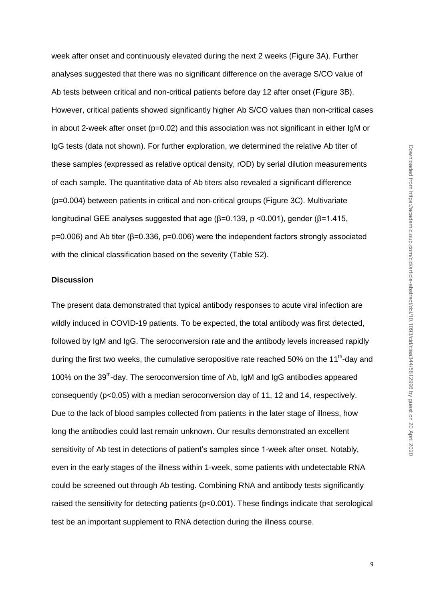week after onset and continuously elevated during the next 2 weeks (Figure 3A). Further analyses suggested that there was no significant difference on the average S/CO value of Ab tests between critical and non-critical patients before day 12 after onset (Figure 3B). However, critical patients showed significantly higher Ab S/CO values than non-critical cases in about 2-week after onset ( $p=0.02$ ) and this association was not significant in either IgM or IgG tests (data not shown). For further exploration, we determined the relative Ab titer of these samples (expressed as relative optical density, rOD) by serial dilution measurements of each sample. The quantitative data of Ab titers also revealed a significant difference (p=0.004) between patients in critical and non-critical groups (Figure 3C). Multivariate longitudinal GEE analyses suggested that age (β=0.139, p <0.001), gender (β=1.415, p=0.006) and Ab titer (β=0.336, p=0.006) were the independent factors strongly associated with the clinical classification based on the severity (Table S2).

## **Discussion**

The present data demonstrated that typical antibody responses to acute viral infection are wildly induced in COVID-19 patients. To be expected, the total antibody was first detected, followed by IgM and IgG. The seroconversion rate and the antibody levels increased rapidly during the first two weeks, the cumulative seropositive rate reached 50% on the 11<sup>th</sup>-day and 100% on the 39<sup>th</sup>-day. The seroconversion time of Ab, IgM and IgG antibodies appeared consequently (p<0.05) with a median seroconversion day of 11, 12 and 14, respectively. Due to the lack of blood samples collected from patients in the later stage of illness, how long the antibodies could last remain unknown. Our results demonstrated an excellent sensitivity of Ab test in detections of patient's samples since 1-week after onset. Notably, even in the early stages of the illness within 1-week, some patients with undetectable RNA could be screened out through Ab testing. Combining RNA and antibody tests significantly raised the sensitivity for detecting patients (p<0.001). These findings indicate that serological test be an important supplement to RNA detection during the illness course.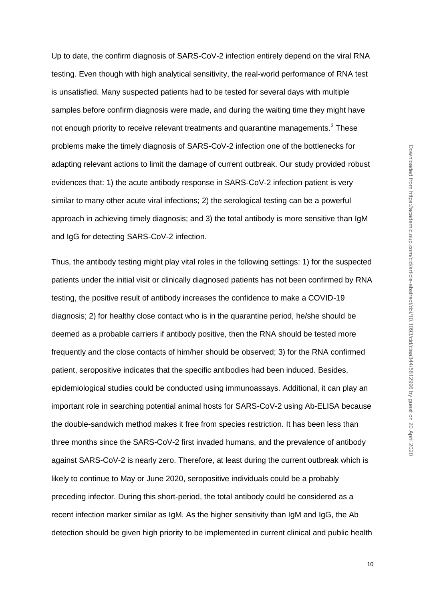Up to date, the confirm diagnosis of SARS-CoV-2 infection entirely depend on the viral RNA testing. Even though with high analytical sensitivity, the real-world performance of RNA test is unsatisfied. Many suspected patients had to be tested for several days with multiple samples before confirm diagnosis were made, and during the waiting time they might have not enough priority to receive relevant treatments and quarantine managements.<sup>3</sup> These problems make the timely diagnosis of SARS-CoV-2 infection one of the bottlenecks for adapting relevant actions to limit the damage of current outbreak. Our study provided robust evidences that: 1) the acute antibody response in SARS-CoV-2 infection patient is very similar to many other acute viral infections; 2) the serological testing can be a powerful approach in achieving timely diagnosis; and 3) the total antibody is more sensitive than IgM and IgG for detecting SARS-CoV-2 infection.

Thus, the antibody testing might play vital roles in the following settings: 1) for the suspected patients under the initial visit or clinically diagnosed patients has not been confirmed by RNA testing, the positive result of antibody increases the confidence to make a COVID-19 diagnosis; 2) for healthy close contact who is in the quarantine period, he/she should be deemed as a probable carriers if antibody positive, then the RNA should be tested more frequently and the close contacts of him/her should be observed; 3) for the RNA confirmed patient, seropositive indicates that the specific antibodies had been induced. Besides, epidemiological studies could be conducted using immunoassays. Additional, it can play an important role in searching potential animal hosts for SARS-CoV-2 using Ab-ELISA because the double-sandwich method makes it free from species restriction. It has been less than three months since the SARS-CoV-2 first invaded humans, and the prevalence of antibody against SARS-CoV-2 is nearly zero. Therefore, at least during the current outbreak which is likely to continue to May or June 2020, seropositive individuals could be a probably preceding infector. During this short-period, the total antibody could be considered as a recent infection marker similar as IgM. As the higher sensitivity than IgM and IgG, the Ab detection should be given high priority to be implemented in current clinical and public health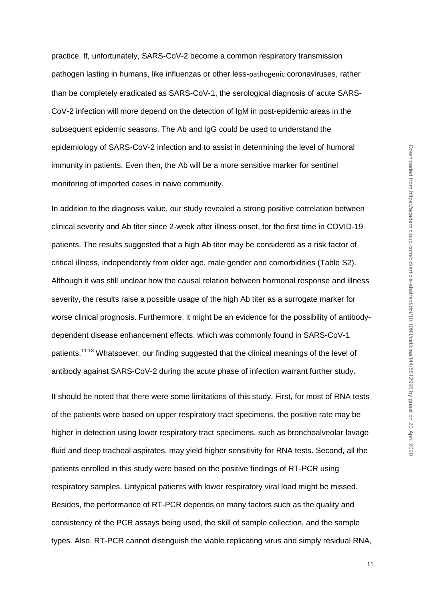practice. If, unfortunately, SARS-CoV-2 become a common respiratory transmission pathogen lasting in humans, like influenzas or other less-pathogenic coronaviruses, rather than be completely eradicated as SARS-CoV-1, the serological diagnosis of acute SARS-CoV-2 infection will more depend on the detection of IgM in post-epidemic areas in the subsequent epidemic seasons. The Ab and IgG could be used to understand the epidemiology of SARS-CoV-2 infection and to assist in determining the level of humoral immunity in patients. Even then, the Ab will be a more sensitive marker for sentinel monitoring of imported cases in naive community.

In addition to the diagnosis value, our study revealed a strong positive correlation between clinical severity and Ab titer since 2-week after illness onset, for the first time in COVID-19 patients. The results suggested that a high Ab titer may be considered as a risk factor of critical illness, independently from older age, male gender and comorbidities (Table S2). Although it was still unclear how the causal relation between hormonal response and illness severity, the results raise a possible usage of the high Ab titer as a surrogate marker for worse clinical prognosis. Furthermore, it might be an evidence for the possibility of antibodydependent disease enhancement effects, which was commonly found in SARS-CoV-1 patients.<sup>11-13</sup> Whatsoever, our finding suggested that the clinical meanings of the level of antibody against SARS-CoV-2 during the acute phase of infection warrant further study.

It should be noted that there were some limitations of this study. First, for most of RNA tests of the patients were based on upper respiratory tract specimens, the positive rate may be higher in detection using lower respiratory tract specimens, such as bronchoalveolar lavage fluid and deep tracheal aspirates, may yield higher sensitivity for RNA tests. Second, all the patients enrolled in this study were based on the positive findings of RT-PCR using respiratory samples. Untypical patients with lower respiratory viral load might be missed. Besides, the performance of RT-PCR depends on many factors such as the quality and consistency of the PCR assays being used, the skill of sample collection, and the sample types. Also, RT-PCR cannot distinguish the viable replicating virus and simply residual RNA,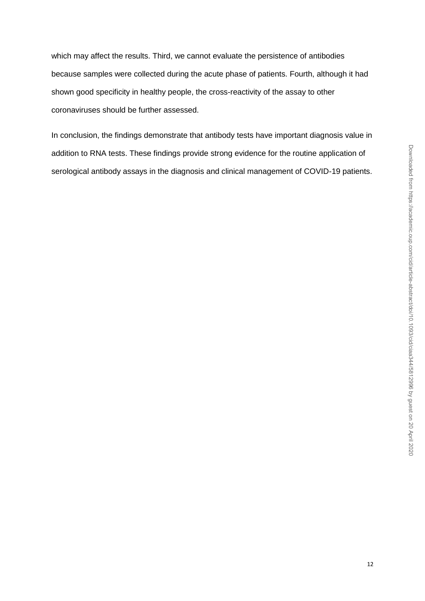which may affect the results. Third, we cannot evaluate the persistence of antibodies because samples were collected during the acute phase of patients. Fourth, although it had shown good specificity in healthy people, the cross-reactivity of the assay to other coronaviruses should be further assessed.

In conclusion, the findings demonstrate that antibody tests have important diagnosis value in addition to RNA tests. These findings provide strong evidence for the routine application of serological antibody assays in the diagnosis and clinical management of COVID-19 patients.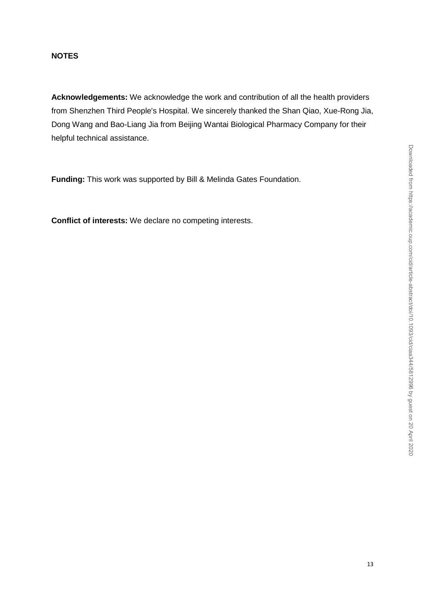## **NOTES**

**Acknowledgements:** We acknowledge the work and contribution of all the health providers from Shenzhen Third People's Hospital. We sincerely thanked the Shan Qiao, Xue-Rong Jia, Dong Wang and Bao-Liang Jia from Beijing Wantai Biological Pharmacy Company for their helpful technical assistance.

**Funding:** This work was supported by Bill & Melinda Gates Foundation.

**Conflict of interests:** We declare no competing interests.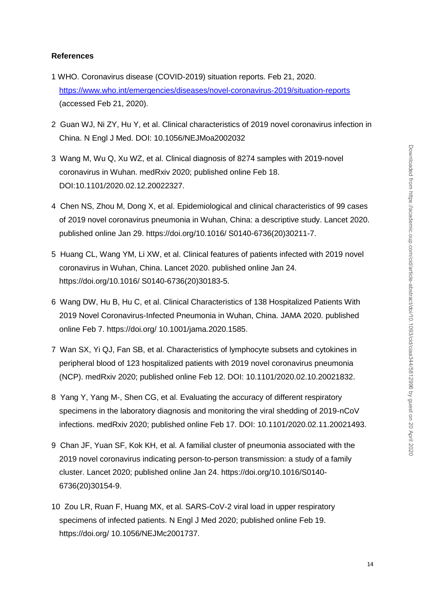# **References**

- 1 WHO. Coronavirus disease (COVID-2019) situation reports. Feb 21, 2020. <https://www.who.int/emergencies/diseases/novel-coronavirus-2019/situation-reports> (accessed Feb 21, 2020).
- 2 Guan WJ, Ni ZY, Hu Y, et al. Clinical characteristics of 2019 novel coronavirus infection in China. N Engl J Med. DOI: 10.1056/NEJMoa2002032
- 3 Wang M, Wu Q, Xu WZ, et al. Clinical diagnosis of 8274 samples with 2019-novel coronavirus in Wuhan. medRxiv 2020; published online Feb 18. DOI:10.1101/2020.02.12.20022327.
- 4 Chen NS, Zhou M, Dong X, et al. Epidemiological and clinical characteristics of 99 cases of 2019 novel coronavirus pneumonia in Wuhan, China: a descriptive study. Lancet 2020. published online Jan 29. https://doi.org/10.1016/ S0140-6736(20)30211-7.
- 5 Huang CL, Wang YM, Li XW, et al. Clinical features of patients infected with 2019 novel coronavirus in Wuhan, China. Lancet 2020. published online Jan 24. https://doi.org/10.1016/ S0140-6736(20)30183-5.
- 6 Wang DW, Hu B, Hu C, et al. Clinical Characteristics of 138 Hospitalized Patients With 2019 Novel Coronavirus-Infected Pneumonia in Wuhan, China. JAMA 2020. published online Feb 7. https://doi.org/ 10.1001/jama.2020.1585.
- 7 Wan SX, Yi QJ, Fan SB, et al. Characteristics of lymphocyte subsets and cytokines in peripheral blood of 123 hospitalized patients with 2019 novel coronavirus pneumonia (NCP). medRxiv 2020; published online Feb 12. DOI: 10.1101/2020.02.10.20021832.
- 8 Yang Y, Yang M-, Shen CG, et al. Evaluating the accuracy of different respiratory specimens in the laboratory diagnosis and monitoring the viral shedding of 2019-nCoV infections. medRxiv 2020; published online Feb 17. DOI: 10.1101/2020.02.11.20021493.
- 9 Chan JF, Yuan SF, Kok KH, et al. A familial cluster of pneumonia associated with the 2019 novel coronavirus indicating person-to-person transmission: a study of a family cluster. Lancet 2020; published online Jan 24. https://doi.org/10.1016/S0140- 6736(20)30154-9.
- 10 Zou LR, Ruan F, Huang MX, et al. SARS-CoV-2 viral load in upper respiratory specimens of infected patients. N Engl J Med 2020; published online Feb 19. https://doi.org/ 10.1056/NEJMc2001737.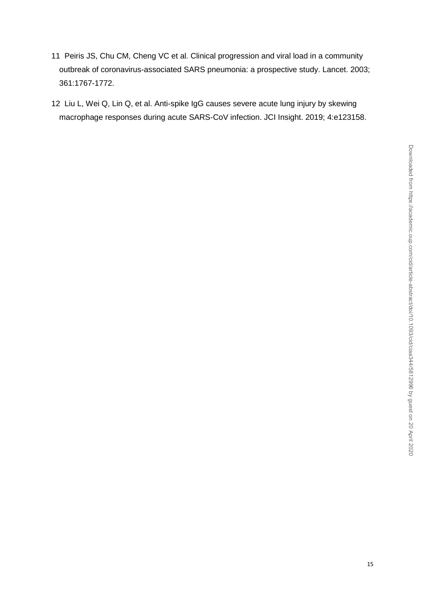- 11 Peiris JS, Chu CM, Cheng VC et al. Clinical progression and viral load in a community outbreak of coronavirus-associated SARS pneumonia: a prospective study. Lancet. 2003; 361:1767-1772.
- 12 [Liu L,](https://www.ncbi.nlm.nih.gov/pubmed/?term=Liu%20L%5BAuthor%5D&cauthor=true&cauthor_uid=30830861) [Wei Q,](https://www.ncbi.nlm.nih.gov/pubmed/?term=Wei%20Q%5BAuthor%5D&cauthor=true&cauthor_uid=30830861) [Lin Q,](https://www.ncbi.nlm.nih.gov/pubmed/?term=Lin%20Q%5BAuthor%5D&cauthor=true&cauthor_uid=30830861) et al. Anti-spike IgG causes severe acute lung injury by skewing macrophage responses during acute SARS-CoV infection. JCI Insight. 2019; 4:e123158.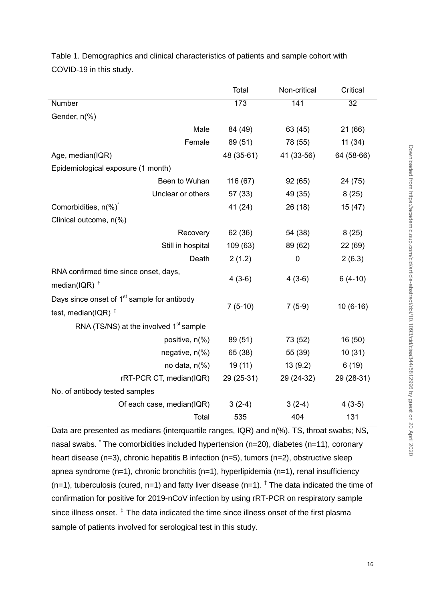|                                                                                  | Total      | Non-critical | Critical   |
|----------------------------------------------------------------------------------|------------|--------------|------------|
| Number                                                                           | 173        | 141          | 32         |
| Gender, n(%)                                                                     |            |              |            |
| Male                                                                             | 84 (49)    | 63 (45)      | 21(66)     |
| Female                                                                           | 89 (51)    | 78 (55)      | 11(34)     |
| Age, median(IQR)                                                                 | 48 (35-61) | 41 (33-56)   | 64 (58-66) |
| Epidemiological exposure (1 month)                                               |            |              |            |
| Been to Wuhan                                                                    | 116 (67)   | 92(65)       | 24 (75)    |
| Unclear or others                                                                | 57 (33)    | 49 (35)      | 8(25)      |
| Comorbidities, n(%) <sup>*</sup>                                                 | 41 (24)    | 26(18)       | 15(47)     |
| Clinical outcome, n(%)                                                           |            |              |            |
| Recovery                                                                         | 62 (36)    | 54 (38)      | 8(25)      |
| Still in hospital                                                                | 109 (63)   | 89 (62)      | 22 (69)    |
| Death                                                                            | 2(1.2)     | $\mathbf 0$  | 2(6.3)     |
| RNA confirmed time since onset, days,<br>median(IQR) $^{\dagger}$                | $4(3-6)$   | $4(3-6)$     | $6(4-10)$  |
| Days since onset of 1 <sup>st</sup> sample for antibody<br>test, median(IQR) $†$ | $7(5-10)$  | $7(5-9)$     | $10(6-16)$ |
| RNA (TS/NS) at the involved 1 <sup>st</sup> sample                               |            |              |            |
| positive, n(%)                                                                   | 89 (51)    | 73 (52)      | 16 (50)    |
| negative, n(%)                                                                   | 65 (38)    | 55 (39)      | 10(31)     |
| no data, $n\frac{6}{6}$                                                          | 19(11)     | 13(9.2)      | 6(19)      |
| rRT-PCR CT, median(IQR)                                                          | 29 (25-31) | 29 (24-32)   | 29 (28-31) |
| No. of antibody tested samples                                                   |            |              |            |
| Of each case, median(IQR)                                                        | $3(2-4)$   | $3(2-4)$     | $4(3-5)$   |
| Total                                                                            | 535        | 404          | 131        |

Table 1. Demographics and clinical characteristics of patients and sample cohort with COVID-19 in this study.

Data are presented as medians (interquartile ranges, IQR) and n(%). TS, throat swabs; NS, nasal swabs. The comorbidities included hypertension (n=20), diabetes (n=11), coronary heart disease (n=3), chronic hepatitis B infection (n=5), tumors (n=2), obstructive sleep apnea syndrome (n=1), chronic bronchitis (n=1), hyperlipidemia (n=1), renal insufficiency  $(n=1)$ , tuberculosis (cured, n=1) and fatty liver disease  $(n=1)$ . <sup>†</sup> The data indicated the time of confirmation for positive for 2019-nCoV infection by using rRT-PCR on respiratory sample since illness onset.  $\frac{1}{4}$  The data indicated the time since illness onset of the first plasma sample of patients involved for serological test in this study.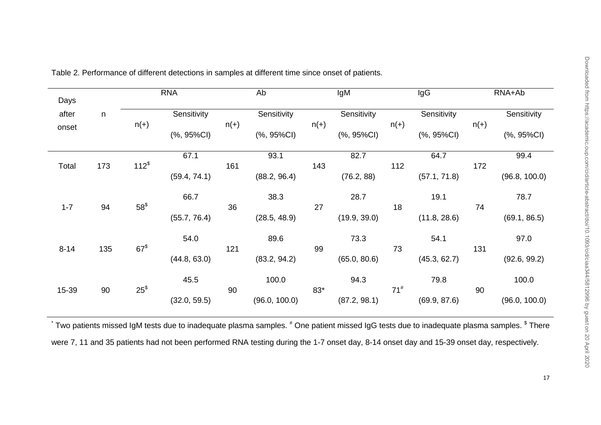| Days     |     | <b>RNA</b>       |              | Ab     |                | IgM    |                | IgG             |                     | RNA+Ab |               |
|----------|-----|------------------|--------------|--------|----------------|--------|----------------|-----------------|---------------------|--------|---------------|
| after    | n   |                  | Sensitivity  | $n(+)$ | Sensitivity    | $n(+)$ | Sensitivity    | $n(+)$          | Sensitivity         | $n(+)$ | Sensitivity   |
| onset    |     | $n(+)$           | (%, 95%CI)   |        | $(%, 95\%$ CI) |        | $(%, 95\%$ CI) |                 | $(%, 95\%CI)$       |        | $(%, 95\%CI)$ |
| Total    | 173 | 112 <sup>⁵</sup> | 67.1         | 161    | 93.1           | 143    | 82.7           |                 | 64.7                | 172    | 99.4          |
|          |     |                  | (59.4, 74.1) |        | (88.2, 96.4)   |        | (76.2, 88)     |                 | 112<br>(57.1, 71.8) |        | (96.8, 100.0) |
| $1 - 7$  | 94  | $58^{\$}$        | 66.7         | 36     | 38.3           | 27     | 28.7           | 18              | 19.1                | 74     | 78.7          |
|          |     |                  | (55.7, 76.4) |        | (28.5, 48.9)   |        | (19.9, 39.0)   |                 | (11.8, 28.6)        |        | (69.1, 86.5)  |
| $8 - 14$ | 135 | 67 <sup></sup>   | 54.0         | 121    | 89.6           | 99     | 73.3           | 73              | 54.1                | 131    | 97.0          |
|          |     |                  | (44.8, 63.0) |        | (83.2, 94.2)   |        | (65.0, 80.6)   |                 | (45.3, 62.7)        |        | (92.6, 99.2)  |
| 15-39    | 90  | $25^{\circ}$     | 45.5         | 90     | 100.0          | $83*$  | 94.3           | 71 <sup>#</sup> | 79.8                | 90     | 100.0         |
|          |     |                  | (32.0, 59.5) |        | (96.0, 100.0)  |        | (87.2, 98.1)   |                 | (69.9, 87.6)        |        | (96.0, 100.0) |

Table 2. Performance of different detections in samples at different time since onset of patients.

 $\degree$  Two patients missed IgM tests due to inadequate plasma samples.  $^*$  One patient missed IgG tests due to inadequate plasma samples.  $^{\$}$  There were 7, 11 and 35 patients had not been performed RNA testing during the 1-7 onset day, 8-14 onset day and 15-39 onset day, respectively.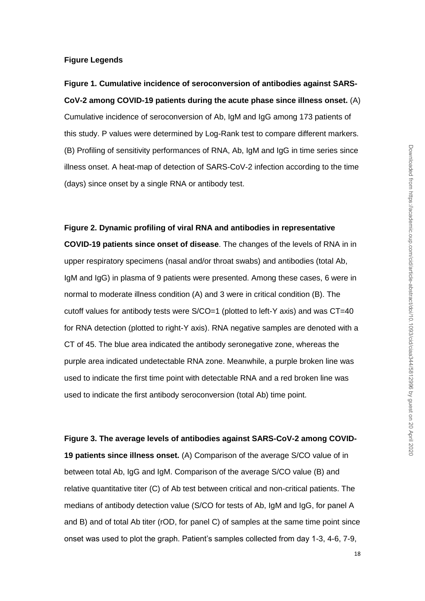## **Figure Legends**

**Figure 1. Cumulative incidence of seroconversion of antibodies against SARS-CoV-2 among COVID-19 patients during the acute phase since illness onset.** (A) Cumulative incidence of seroconversion of Ab, IgM and IgG among 173 patients of this study. P values were determined by Log-Rank test to compare different markers. (B) Profiling of sensitivity performances of RNA, Ab, IgM and IgG in time series since illness onset. A heat-map of detection of SARS-CoV-2 infection according to the time (days) since onset by a single RNA or antibody test.

#### **Figure 2. Dynamic profiling of viral RNA and antibodies in representative**

**COVID-19 patients since onset of disease**. The changes of the levels of RNA in in upper respiratory specimens (nasal and/or throat swabs) and antibodies (total Ab, IgM and IgG) in plasma of 9 patients were presented. Among these cases, 6 were in normal to moderate illness condition (A) and 3 were in critical condition (B). The cutoff values for antibody tests were S/CO=1 (plotted to left-Y axis) and was CT=40 for RNA detection (plotted to right-Y axis). RNA negative samples are denoted with a CT of 45. The blue area indicated the antibody seronegative zone, whereas the purple area indicated undetectable RNA zone. Meanwhile, a purple broken line was used to indicate the first time point with detectable RNA and a red broken line was used to indicate the first antibody seroconversion (total Ab) time point.

# **Figure 3. The average levels of antibodies against SARS-CoV-2 among COVID-19 patients since illness onset.** (A) Comparison of the average S/CO value of in between total Ab, IgG and IgM. Comparison of the average S/CO value (B) and relative quantitative titer (C) of Ab test between critical and non-critical patients. The medians of antibody detection value (S/CO for tests of Ab, IgM and IgG, for panel A and B) and of total Ab titer (rOD, for panel C) of samples at the same time point since onset was used to plot the graph. Patient's samples collected from day 1-3, 4-6, 7-9,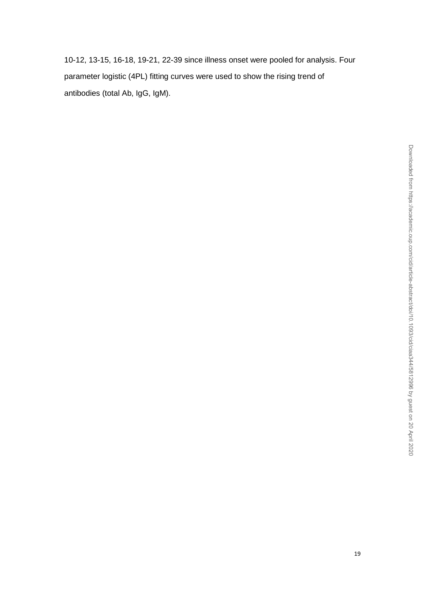10-12, 13-15, 16-18, 19-21, 22-39 since illness onset were pooled for analysis. Four parameter logistic (4PL) fitting curves were used to show the rising trend of antibodies (total Ab, IgG, IgM).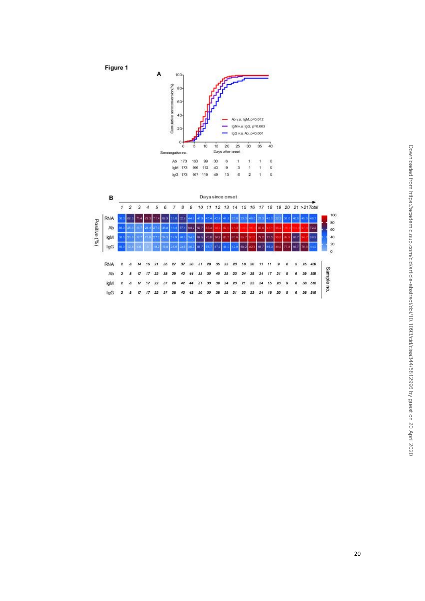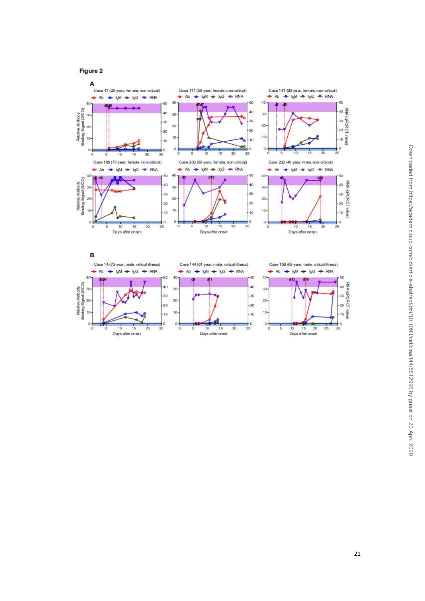Figure 2